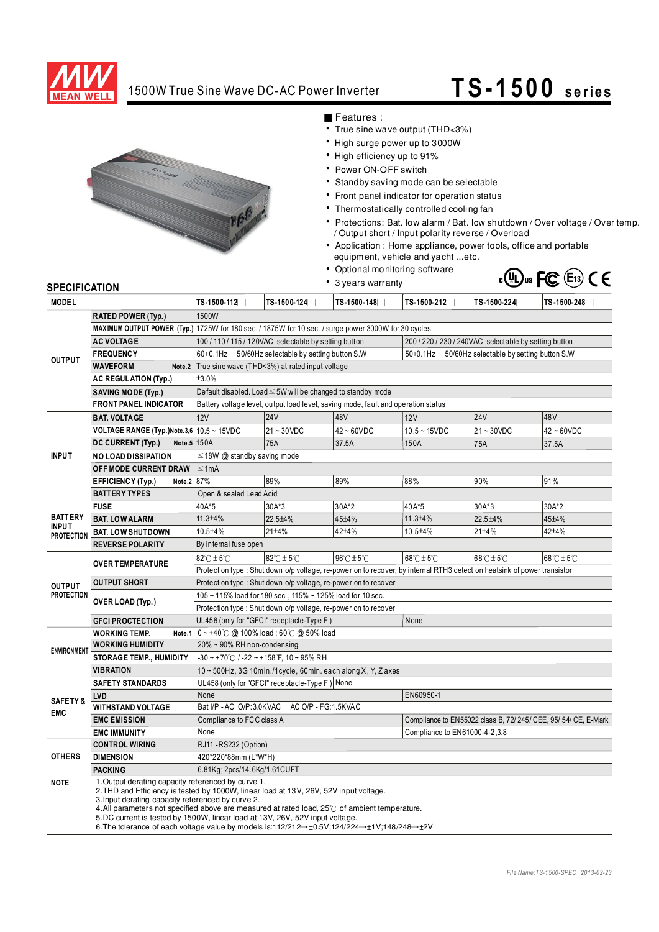

## 1500W True Sine Wave DC-AC Power Inverter **TS -1500 se rie s**



■ Features :

- True sine wave output (THD<3%)
- High surge power up to 3000W
- High efficiency up to 91%
- Power ON-OFF switch

• 3 years warranty

- Standby saving mode can be selectable
- Front panel indicator for operation status
- Thermostatically controlled cooling fan
- Protections: Bat. low alarm / Bat. low shutdown / Over voltage / Over temp. / Output short / Input polarity reverse / Overload
- Application : Home appliance, power tools, office and portable equipment, vehicle and yacht ...etc.
- Optional monitoring software



## **SPECIFICATION**

| <b>MODEL</b>                                        |                                                                                                                                                                                                                                                                                                                                                                                                                                                                                                                          | TS-1500-112 <sup>7</sup>                                                                                                | TS-1500-124□                                    | TS-1500-148□                             | TS-1500-212 <sup>-1</sup>                                       | TS-1500-224□  | TS-1500-248∏                        |  |
|-----------------------------------------------------|--------------------------------------------------------------------------------------------------------------------------------------------------------------------------------------------------------------------------------------------------------------------------------------------------------------------------------------------------------------------------------------------------------------------------------------------------------------------------------------------------------------------------|-------------------------------------------------------------------------------------------------------------------------|-------------------------------------------------|------------------------------------------|-----------------------------------------------------------------|---------------|-------------------------------------|--|
| <b>RATED POWER (Typ.)</b>                           |                                                                                                                                                                                                                                                                                                                                                                                                                                                                                                                          | 1500W                                                                                                                   |                                                 |                                          |                                                                 |               |                                     |  |
| <b>OUTPUT</b>                                       |                                                                                                                                                                                                                                                                                                                                                                                                                                                                                                                          | MAXIMUM OUTPUT POWER (Typ.) 1725W for 180 sec. / 1875W for 10 sec. / surge power 3000W for 30 cycles                    |                                                 |                                          |                                                                 |               |                                     |  |
|                                                     | <b>AC VOLTAGE</b>                                                                                                                                                                                                                                                                                                                                                                                                                                                                                                        | 100 / 110 / 115 / 120VAC selectable by setting button                                                                   |                                                 |                                          | 200 / 220 / 230 / 240VAC selectable by setting button           |               |                                     |  |
|                                                     | <b>FREQUENCY</b>                                                                                                                                                                                                                                                                                                                                                                                                                                                                                                         | 60±0.1Hz 50/60Hz selectable by setting button S.W                                                                       |                                                 |                                          | 50±0.1Hz 50/60Hz selectable by setting button S.W               |               |                                     |  |
|                                                     | <b>WAVEFORM</b><br>Note.2                                                                                                                                                                                                                                                                                                                                                                                                                                                                                                | True sine wave (THD<3%) at rated input voltage                                                                          |                                                 |                                          |                                                                 |               |                                     |  |
|                                                     | <b>AC REGULATION (Typ.)</b>                                                                                                                                                                                                                                                                                                                                                                                                                                                                                              | ±3.0%                                                                                                                   |                                                 |                                          |                                                                 |               |                                     |  |
|                                                     | <b>SAVING MODE (Typ.)</b>                                                                                                                                                                                                                                                                                                                                                                                                                                                                                                | Default disabled. Load ≤ 5W will be changed to standby mode                                                             |                                                 |                                          |                                                                 |               |                                     |  |
|                                                     | <b>FRONT PANEL INDICATOR</b>                                                                                                                                                                                                                                                                                                                                                                                                                                                                                             | Battery voltage level, output load level, saving mode, fault and operation status                                       |                                                 |                                          |                                                                 |               |                                     |  |
|                                                     | <b>BAT. VOLTAGE</b>                                                                                                                                                                                                                                                                                                                                                                                                                                                                                                      | 24V<br>48V<br>48 <sub>V</sub><br><b>12V</b><br><b>24V</b><br>12V                                                        |                                                 |                                          |                                                                 |               |                                     |  |
| <b>INPUT</b>                                        | VOLTAGE RANGE (Typ.) Note. 3,6   $10.5 \sim 15$ VDC                                                                                                                                                                                                                                                                                                                                                                                                                                                                      |                                                                                                                         | $21 - 30$ VDC                                   | $42 - 60$ VDC                            | $10.5 - 15VDC$                                                  | $21 - 30VDC$  | $42 - 60VDC$                        |  |
|                                                     | Note.5 150A<br>DC CURRENT (Typ.)                                                                                                                                                                                                                                                                                                                                                                                                                                                                                         |                                                                                                                         | 75A                                             | 37.5A                                    | 150A                                                            | 75A           | 37.5A                               |  |
|                                                     | <b>NO LOAD DISSIPATION</b>                                                                                                                                                                                                                                                                                                                                                                                                                                                                                               | $\leq$ 18W @ standby saving mode                                                                                        |                                                 |                                          |                                                                 |               |                                     |  |
|                                                     | OFF MODE CURRENT DRAW                                                                                                                                                                                                                                                                                                                                                                                                                                                                                                    | $\leq 1$ mA                                                                                                             |                                                 |                                          |                                                                 |               |                                     |  |
|                                                     | Note.2 87%<br><b>EFFICIENCY (Typ.)</b>                                                                                                                                                                                                                                                                                                                                                                                                                                                                                   |                                                                                                                         | 89%                                             | 89%                                      | 88%                                                             | 90%           | 91%                                 |  |
|                                                     | <b>BATTERY TYPES</b>                                                                                                                                                                                                                                                                                                                                                                                                                                                                                                     | Open & sealed Lead Acid                                                                                                 |                                                 |                                          |                                                                 |               |                                     |  |
| <b>BATTERY</b><br><b>INPUT</b><br><b>PROTECTION</b> | <b>FUSE</b>                                                                                                                                                                                                                                                                                                                                                                                                                                                                                                              | 40A*5                                                                                                                   | $30A*3$                                         | 30A*2                                    | 40A*5                                                           | 30A*3         | 30A*2                               |  |
|                                                     | <b>BAT. LOW ALARM</b>                                                                                                                                                                                                                                                                                                                                                                                                                                                                                                    | $11.3 + 4%$                                                                                                             | 22.5±4%                                         | 45±4%                                    | 11.3±4%                                                         | 22.5±4%       | 45±4%                               |  |
|                                                     | <b>BAT. LOW SHUTDOWN</b>                                                                                                                                                                                                                                                                                                                                                                                                                                                                                                 | 10.5±4%                                                                                                                 | $21 \pm 4\%$                                    | 42±4%                                    | 10.5±4%                                                         | $21 \pm 4 \%$ | 42±4%                               |  |
|                                                     | <b>REVERSE POLARITY</b>                                                                                                                                                                                                                                                                                                                                                                                                                                                                                                  | By internal fuse open                                                                                                   |                                                 |                                          |                                                                 |               |                                     |  |
| <b>OUTPUT</b><br><b>PROTECTION</b>                  | <b>OVER TEMPERATURE</b>                                                                                                                                                                                                                                                                                                                                                                                                                                                                                                  | $82^{\circ}$ C $\pm$ 5 $^{\circ}$ C                                                                                     | $82^{\circ}$ C ± 5 $^{\circ}$ C                 | $96^\circ \text{C} \pm 5^\circ \text{C}$ | $68^{\circ}$ C $\pm$ 5 $^{\circ}$ C                             | 68°C±5°C      | $68^{\circ}$ C $\pm$ 5 $^{\circ}$ C |  |
|                                                     |                                                                                                                                                                                                                                                                                                                                                                                                                                                                                                                          | Protection type: Shut down o/p voltage, re-power on to recover; by internal RTH3 detect on heatsink of power transistor |                                                 |                                          |                                                                 |               |                                     |  |
|                                                     | <b>OUTPUT SHORT</b>                                                                                                                                                                                                                                                                                                                                                                                                                                                                                                      | Protection type: Shut down o/p voltage, re-power on to recover                                                          |                                                 |                                          |                                                                 |               |                                     |  |
|                                                     |                                                                                                                                                                                                                                                                                                                                                                                                                                                                                                                          | 105 ~ 115% load for 180 sec., 115% ~ 125% load for 10 sec.                                                              |                                                 |                                          |                                                                 |               |                                     |  |
|                                                     | OVER LOAD (Typ.)                                                                                                                                                                                                                                                                                                                                                                                                                                                                                                         | Protection type: Shut down o/p voltage, re-power on to recover                                                          |                                                 |                                          |                                                                 |               |                                     |  |
|                                                     | <b>GFCI PROCTECTION</b>                                                                                                                                                                                                                                                                                                                                                                                                                                                                                                  | UL458 (only for "GFCI" receptacle-Type F)                                                                               |                                                 |                                          | None                                                            |               |                                     |  |
| <b>ENVIRONMENT</b>                                  | <b>WORKING TEMP.</b><br>Note.1                                                                                                                                                                                                                                                                                                                                                                                                                                                                                           | $0 \sim +40^{\circ}$ C @ 100% load; 60 $^{\circ}$ C @ 50% load                                                          |                                                 |                                          |                                                                 |               |                                     |  |
|                                                     | <b>WORKING HUMIDITY</b>                                                                                                                                                                                                                                                                                                                                                                                                                                                                                                  | 20% ~ 90% RH non-condensing                                                                                             |                                                 |                                          |                                                                 |               |                                     |  |
|                                                     | <b>STORAGE TEMP., HUMIDITY</b>                                                                                                                                                                                                                                                                                                                                                                                                                                                                                           | $-30 \sim +70^{\circ}$ C / $-22 \sim +158^{\circ}$ F, 10 ~ 95% RH                                                       |                                                 |                                          |                                                                 |               |                                     |  |
|                                                     | <b>VIBRATION</b>                                                                                                                                                                                                                                                                                                                                                                                                                                                                                                         | 10 ~ 500Hz, 3G 10min./1cycle, 60min. each along X, Y, Z axes                                                            |                                                 |                                          |                                                                 |               |                                     |  |
| <b>SAFETY&amp;</b><br><b>EMC</b>                    | <b>SAFETY STANDARDS</b>                                                                                                                                                                                                                                                                                                                                                                                                                                                                                                  | UL458 (only for "GFCI" receptacle-Type F) None                                                                          |                                                 |                                          |                                                                 |               |                                     |  |
|                                                     | LVD                                                                                                                                                                                                                                                                                                                                                                                                                                                                                                                      | None                                                                                                                    |                                                 |                                          |                                                                 | EN60950-1     |                                     |  |
|                                                     | <b>WITHSTAND VOLTAGE</b>                                                                                                                                                                                                                                                                                                                                                                                                                                                                                                 |                                                                                                                         | Bat I/P - AC O/P:3.0KVAC<br>AC O/P - FG:1.5KVAC |                                          |                                                                 |               |                                     |  |
|                                                     | <b>EMC EMISSION</b>                                                                                                                                                                                                                                                                                                                                                                                                                                                                                                      | Compliance to FCC class A                                                                                               |                                                 |                                          | Compliance to EN55022 class B, 72/ 245/ CEE, 95/ 54/ CE, E-Mark |               |                                     |  |
|                                                     | <b>EMC IMMUNITY</b>                                                                                                                                                                                                                                                                                                                                                                                                                                                                                                      | None                                                                                                                    |                                                 |                                          | Compliance to EN61000-4-2, 3, 8                                 |               |                                     |  |
| <b>OTHERS</b>                                       | <b>CONTROL WIRING</b>                                                                                                                                                                                                                                                                                                                                                                                                                                                                                                    | RJ11 - RS232 (Option)                                                                                                   |                                                 |                                          |                                                                 |               |                                     |  |
|                                                     | <b>DIMENSION</b>                                                                                                                                                                                                                                                                                                                                                                                                                                                                                                         | 420*220*88mm (L*W*H)                                                                                                    |                                                 |                                          |                                                                 |               |                                     |  |
|                                                     | <b>PACKING</b>                                                                                                                                                                                                                                                                                                                                                                                                                                                                                                           | 6.81Kg; 2pcs/14.6Kg/1.61CUFT                                                                                            |                                                 |                                          |                                                                 |               |                                     |  |
| <b>NOTE</b>                                         | 1. Output derating capacity referenced by curve 1.<br>2. THD and Efficiency is tested by 1000W, linear load at 13V, 26V, 52V input voltage.<br>3. Input derating capacity referenced by curve 2.<br>4.All parameters not specified above are measured at rated load, 25°C of ambient temperature.<br>5.DC current is tested by 1500W, linear load at 13V, 26V, 52V input voltage.<br>6. The tolerance of each voltage value by models is:112/212 $\rightarrow$ +0.5V:124/224 $\rightarrow$ +1V:148/248 $\rightarrow$ +2V |                                                                                                                         |                                                 |                                          |                                                                 |               |                                     |  |